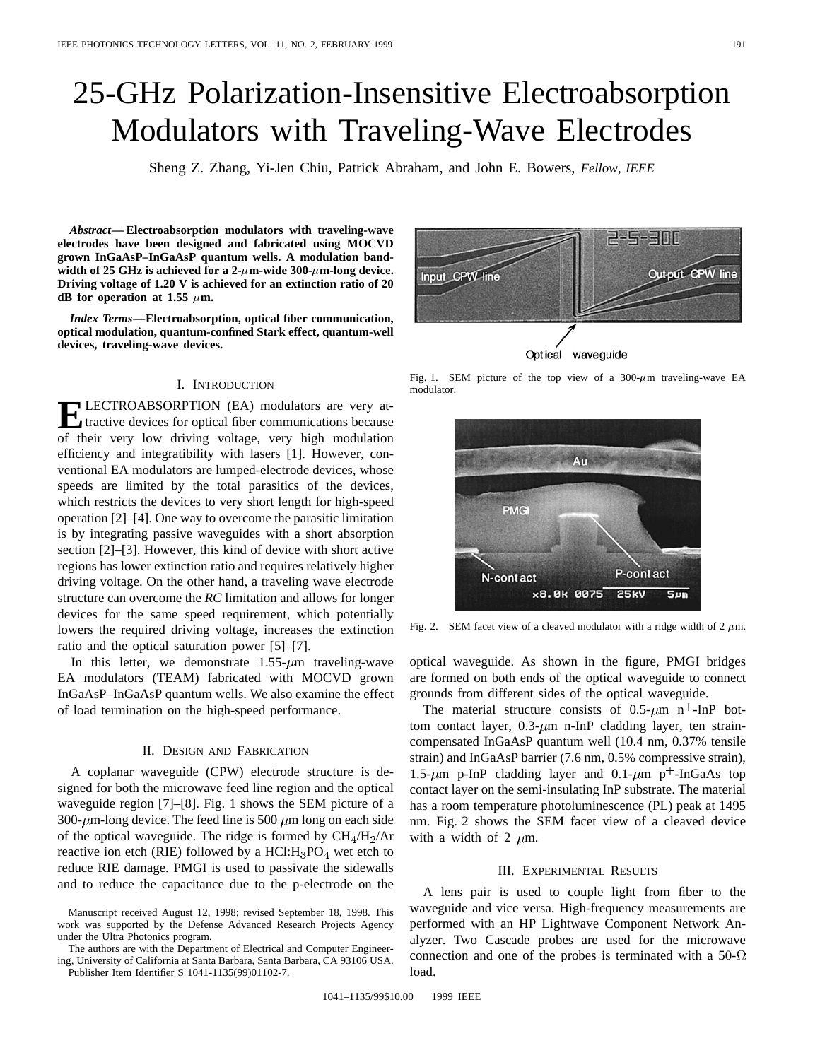# 25-GHz Polarization-Insensitive Electroabsorption Modulators with Traveling-Wave Electrodes

Sheng Z. Zhang, Yi-Jen Chiu, Patrick Abraham, and John E. Bowers, *Fellow, IEEE*

*Abstract—* **Electroabsorption modulators with traveling-wave electrodes have been designed and fabricated using MOCVD grown InGaAsP–InGaAsP quantum wells. A modulation band**width of 25 GHz is achieved for a  $2-\mu$ m-wide 300- $\mu$ m-long device. **Driving voltage of 1.20 V is achieved for an extinction ratio of 20 dB** for operation at 1.55  $\mu$ m.

*Index Terms—***Electroabsorption, optical fiber communication, optical modulation, quantum-confined Stark effect, quantum-well devices, traveling-wave devices.**

# I. INTRODUCTION

**ELECTROABSORPTION** (EA) modulators are very at-<br>tractive devices for optical fiber communications because of their very low driving voltage, very high modulation efficiency and integratibility with lasers [1]. However, conventional EA modulators are lumped-electrode devices, whose speeds are limited by the total parasitics of the devices, which restricts the devices to very short length for high-speed operation [2]–[4]. One way to overcome the parasitic limitation is by integrating passive waveguides with a short absorption section [2]–[3]. However, this kind of device with short active regions has lower extinction ratio and requires relatively higher driving voltage. On the other hand, a traveling wave electrode structure can overcome the *RC* limitation and allows for longer devices for the same speed requirement, which potentially lowers the required driving voltage, increases the extinction ratio and the optical saturation power [5]–[7].

In this letter, we demonstrate  $1.55-\mu m$  traveling-wave EA modulators (TEAM) fabricated with MOCVD grown InGaAsP–InGaAsP quantum wells. We also examine the effect of load termination on the high-speed performance.

## II. DESIGN AND FABRICATION

A coplanar waveguide (CPW) electrode structure is designed for both the microwave feed line region and the optical waveguide region [7]–[8]. Fig. 1 shows the SEM picture of a 300- $\mu$ m-long device. The feed line is 500  $\mu$ m long on each side of the optical waveguide. The ridge is formed by  $CH_4/H_2/Ar$ reactive ion etch (RIE) followed by a  $HCl:H_3PO_4$  wet etch to reduce RIE damage. PMGI is used to passivate the sidewalls and to reduce the capacitance due to the p-electrode on the

The authors are with the Department of Electrical and Computer Engineering, University of California at Santa Barbara, Santa Barbara, CA 93106 USA. Publisher Item Identifier S 1041-1135(99)01102-7.

Optical waveguide

Fig. 1. SEM picture of the top view of a  $300-\mu m$  traveling-wave EA modulator.

Au

**PMGI** 

N-contact

Fig. 2. SEM facet view of a cleaved modulator with a ridge width of  $2 \mu$ m.

x8.0k 0075

P-contact

 $5<sub>um</sub>$ 

**25kV** 

optical waveguide. As shown in the figure, PMGI bridges are formed on both ends of the optical waveguide to connect grounds from different sides of the optical waveguide.

The material structure consists of  $0.5 \text{-} \mu \text{m}$  n<sup>+</sup>-InP bottom contact layer,  $0.3-\mu m$  n-InP cladding layer, ten straincompensated InGaAsP quantum well (10.4 nm, 0.37% tensile strain) and InGaAsP barrier (7.6 nm, 0.5% compressive strain), 1.5- $\mu$ m p-InP cladding layer and 0.1- $\mu$ m p<sup>+</sup>-InGaAs top contact layer on the semi-insulating InP substrate. The material has a room temperature photoluminescence (PL) peak at 1495 nm. Fig. 2 shows the SEM facet view of a cleaved device with a width of 2  $\mu$ m.

### III. EXPERIMENTAL RESULTS

A lens pair is used to couple light from fiber to the waveguide and vice versa. High-frequency measurements are performed with an HP Lightwave Component Network Analyzer. Two Cascade probes are used for the microwave connection and one of the probes is terminated with a 50- $\Omega$ load.



Manuscript received August 12, 1998; revised September 18, 1998. This work was supported by the Defense Advanced Research Projects Agency under the Ultra Photonics program.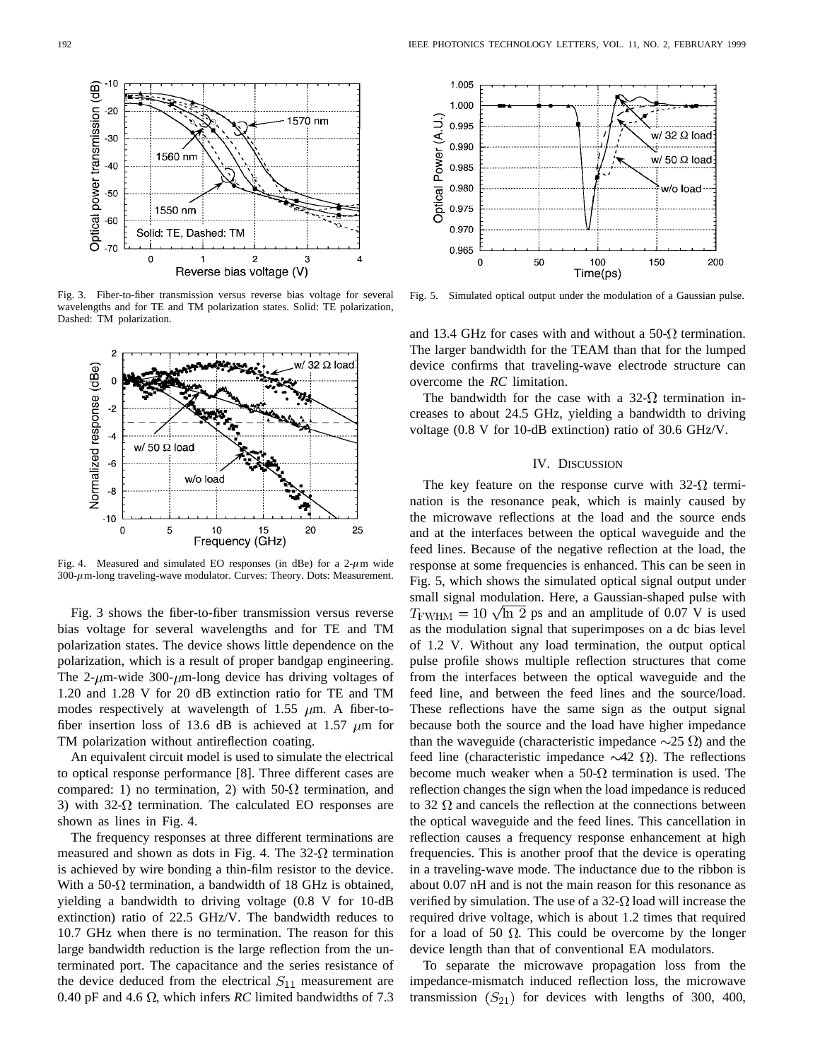

Fig. 3. Fiber-to-fiber transmission versus reverse bias voltage for several wavelengths and for TE and TM polarization states. Solid: TE polarization, Dashed: TM polarization.



Fig. 4. Measured and simulated EO responses (in dBe) for a  $2-\mu$ m wide  $300-\mu$ m-long traveling-wave modulator. Curves: Theory. Dots: Measurement.

Fig. 3 shows the fiber-to-fiber transmission versus reverse bias voltage for several wavelengths and for TE and TM polarization states. The device shows little dependence on the polarization, which is a result of proper bandgap engineering. The 2- $\mu$ m-wide 300- $\mu$ m-long device has driving voltages of 1.20 and 1.28 V for 20 dB extinction ratio for TE and TM modes respectively at wavelength of 1.55  $\mu$ m. A fiber-tofiber insertion loss of 13.6 dB is achieved at 1.57  $\mu$ m for TM polarization without antireflection coating.

An equivalent circuit model is used to simulate the electrical to optical response performance [8]. Three different cases are compared: 1) no termination, 2) with 50- $\Omega$  termination, and 3) with 32- $\Omega$  termination. The calculated EO responses are shown as lines in Fig. 4.

The frequency responses at three different terminations are measured and shown as dots in Fig. 4. The 32- $\Omega$  termination is achieved by wire bonding a thin-film resistor to the device. With a 50- $\Omega$  termination, a bandwidth of 18 GHz is obtained, yielding a bandwidth to driving voltage (0.8 V for 10-dB extinction) ratio of 22.5 GHz/V. The bandwidth reduces to 10.7 GHz when there is no termination. The reason for this large bandwidth reduction is the large reflection from the unterminated port. The capacitance and the series resistance of the device deduced from the electrical  $S_{11}$  measurement are 0.40 pF and 4.6  $\Omega$ , which infers *RC* limited bandwidths of 7.3



Fig. 5. Simulated optical output under the modulation of a Gaussian pulse.

and 13.4 GHz for cases with and without a 50- $\Omega$  termination. The larger bandwidth for the TEAM than that for the lumped device confirms that traveling-wave electrode structure can overcome the *RC* limitation.

The bandwidth for the case with a 32- $\Omega$  termination increases to about 24.5 GHz, yielding a bandwidth to driving voltage (0.8 V for 10-dB extinction) ratio of 30.6 GHz/V.

## IV. DISCUSSION

The key feature on the response curve with  $32-\Omega$  termination is the resonance peak, which is mainly caused by the microwave reflections at the load and the source ends and at the interfaces between the optical waveguide and the feed lines. Because of the negative reflection at the load, the response at some frequencies is enhanced. This can be seen in Fig. 5, which shows the simulated optical signal output under small signal modulation. Here, a Gaussian-shaped pulse with  $T_{\text{FWHM}} = 10 \sqrt{\ln 2}$  ps and an amplitude of 0.07 V is used as the modulation signal that superimposes on a dc bias level of 1.2 V. Without any load termination, the output optical pulse profile shows multiple reflection structures that come from the interfaces between the optical waveguide and the feed line, and between the feed lines and the source/load. These reflections have the same sign as the output signal because both the source and the load have higher impedance than the waveguide (characteristic impedance  $\sim$ 25  $\Omega$ ) and the feed line (characteristic impedance  $\sim$ 42  $\Omega$ ). The reflections become much weaker when a 50- $\Omega$  termination is used. The reflection changes the sign when the load impedance is reduced to 32  $\Omega$  and cancels the reflection at the connections between the optical waveguide and the feed lines. This cancellation in reflection causes a frequency response enhancement at high frequencies. This is another proof that the device is operating in a traveling-wave mode. The inductance due to the ribbon is about 0.07 nH and is not the main reason for this resonance as verified by simulation. The use of a 32- $\Omega$  load will increase the required drive voltage, which is about 1.2 times that required for a load of 50  $\Omega$ . This could be overcome by the longer device length than that of conventional EA modulators.

To separate the microwave propagation loss from the impedance-mismatch induced reflection loss, the microwave transmission  $(S_{21})$  for devices with lengths of 300, 400,